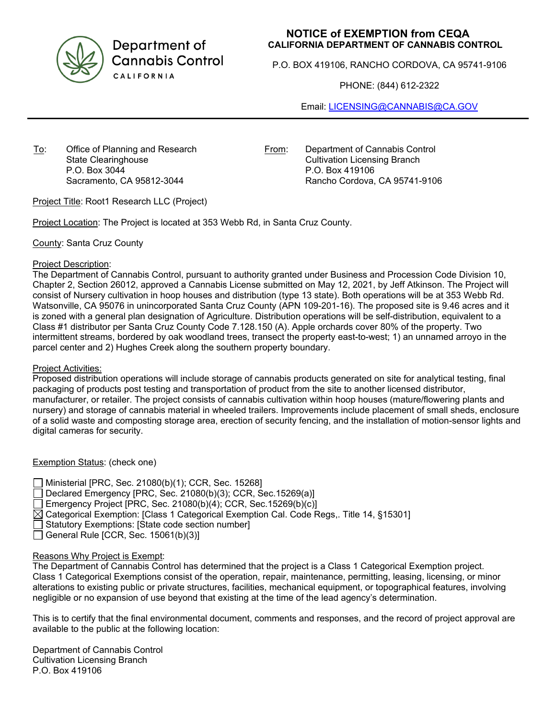

Department of **Cannabis Control** CALIFORNIA

## **NOTICE of EXEMPTION from CEQA CALIFORNIA DEPARTMENT OF CANNABIS CONTROL**

P.O. BOX 419106, RANCHO CORDOVA, CA 95741-9106

PHONE: (844) 612-2322

Email: [LICENSING@CANNABIS@CA.GOV](mailto:LICENSING@CANNABIS@CA.GOV)

To: Office of Planning and Research State Clearinghouse P.O. Box 3044 Sacramento, CA 95812-3044

From: Department of Cannabis Control Cultivation Licensing Branch P.O. Box 419106 Rancho Cordova, CA 95741-9106

Project Title: Root1 Research LLC (Project)

Project Location: The Project is located at 353 Webb Rd, in Santa Cruz County.

County: Santa Cruz County

#### Project Description:

The Department of Cannabis Control, pursuant to authority granted under Business and Procession Code Division 10, Chapter 2, Section 26012, approved a Cannabis License submitted on May 12, 2021, by Jeff Atkinson. The Project will consist of Nursery cultivation in hoop houses and distribution (type 13 state). Both operations will be at 353 Webb Rd. Watsonville, CA 95076 in unincorporated Santa Cruz County (APN 109-201-16). The proposed site is 9.46 acres and it is zoned with a general plan designation of Agriculture. Distribution operations will be self-distribution, equivalent to a Class #1 distributor per Santa Cruz County Code 7.128.150 (A). Apple orchards cover 80% of the property. Two intermittent streams, bordered by oak woodland trees, transect the property east-to-west; 1) an unnamed arroyo in the parcel center and 2) Hughes Creek along the southern property boundary.

#### Project Activities:

Proposed distribution operations will include storage of cannabis products generated on site for analytical testing, final packaging of products post testing and transportation of product from the site to another licensed distributor, manufacturer, or retailer. The project consists of cannabis cultivation within hoop houses (mature/flowering plants and nursery) and storage of cannabis material in wheeled trailers. Improvements include placement of small sheds, enclosure of a solid waste and composting storage area, erection of security fencing, and the installation of motion-sensor lights and digital cameras for security.

Exemption Status: (check one)

Ministerial [PRC, Sec. 21080(b)(1); CCR, Sec. 15268] □ Declared Emergency [PRC, Sec. 21080(b)(3); CCR, Sec.15269(a)] Emergency Project [PRC, Sec. 21080(b)(4); CCR, Sec.15269(b)(c)]  $\boxtimes$  Categorical Exemption: [Class 1 Categorical Exemption Cal. Code Regs,. Title 14, §15301] Statutory Exemptions: [State code section number] General Rule [CCR, Sec.  $15061(b)(3)$ ]

### Reasons Why Project is Exempt:

The Department of Cannabis Control has determined that the project is a Class 1 Categorical Exemption project. Class 1 Categorical Exemptions consist of the operation, repair, maintenance, permitting, leasing, licensing, or minor alterations to existing public or private structures, facilities, mechanical equipment, or topographical features, involving negligible or no expansion of use beyond that existing at the time of the lead agency's determination.

This is to certify that the final environmental document, comments and responses, and the record of project approval are available to the public at the following location:

Department of Cannabis Control Cultivation Licensing Branch P.O. Box 419106